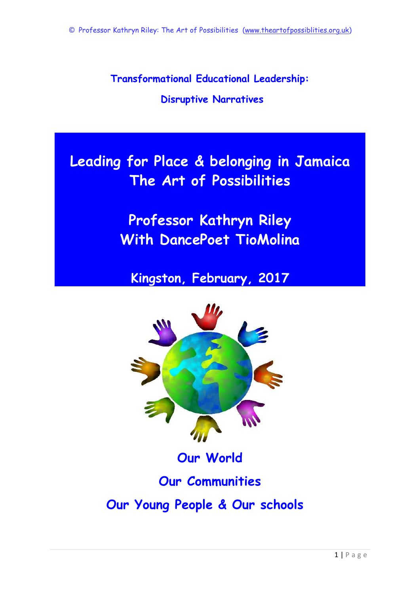**Transformational Educational Leadership:**

# **Disruptive Narratives**

**Leading for Place & belonging in Jamaica The Art of Possibilities**

> **Professor Kathryn Riley With DancePoet TioMolina**

**Kingston, February, 2017**



**Our World**

**Our Communities**

**Our Young People & Our schools**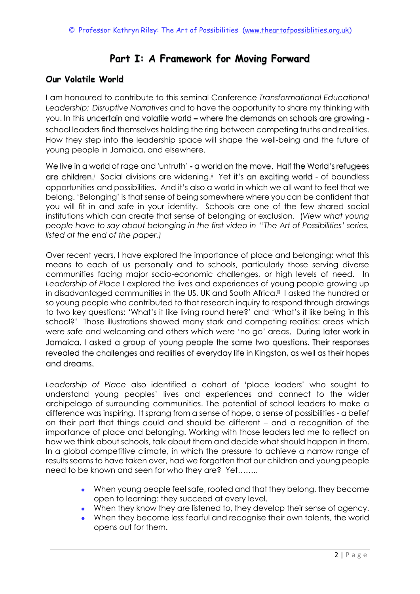# **Part I: A Framework for Moving Forward**

# **Our Volatile World**

I am honoured to contribute to this seminal Conference *Transformational Educational Leadership: Disruptive Narratives* and to have the opportunity to share my thinking with you. In this uncertain and volatile world – where the demands on schools are growing school leaders find themselves holding the ring between competing truths and realities. How they step into the leadership space will shape the well-being and the future of young people in Jamaica, and elsewhere.

We live in a world of rage and 'untruth' - a world on the move. Half the World's refugees are children.<sup>†</sup> Social divisions are widening.<sup>#</sup> Yet it's an exciting world - of boundless opportunities and possibilities. And it's also a world in which we all want to feel that we belong. 'Belonging' is that sense of being somewhere where you can be confident that you will fit in and safe in your identity. Schools are one of the few shared social institutions which can create that sense of belonging or exclusion. (*View what young people have to say about belonging in the first video in ''The Art of Possibilities' series, listed at the end of the paper.)*

Over recent years, I have explored the importance of place and belonging: what this means to each of us personally and to schools, particularly those serving diverse communities facing major socio-economic challenges, or high levels of need. In *Leadership of Place* I explored the lives and experiences of young people growing up in disadvantaged communities in the US, UK and South Africa.<sup>iii</sup> I asked the hundred or so young people who contributed to that research inquiry to respond through drawings to two key questions: 'What's it like living round here?' and 'What's it like being in this school?' Those illustrations showed many stark and competing realities: areas which were safe and welcoming and others which were 'no go' areas. During later work in Jamaica, I asked a group of young people the same two questions. Their responses revealed the challenges and realities of everyday life in Kingston, as well as their hopes and dreams.

*Leadership of Place* also identified a cohort of 'place leaders' who sought to understand young peoples' lives and experiences and connect to the wider archipelago of surrounding communities. The potential of school leaders to make a difference was inspiring. It sprang from a sense of hope, a sense of possibilities - a belief on their part that things could and should be different – and a recognition of the importance of place and belonging. Working with those leaders led me to reflect on how we think about schools, talk about them and decide what should happen in them. In a global competitive climate, in which the pressure to achieve a narrow range of results seems to have taken over, had we forgotten that our children and young people need to be known and seen for who they are? Yet……..

- When young people feel safe, rooted and that they belong, they become open to learning: they succeed at every level.
- When they know they are listened to, they develop their sense of agency.
- When they become less fearful and recognise their own talents, the world opens out for them.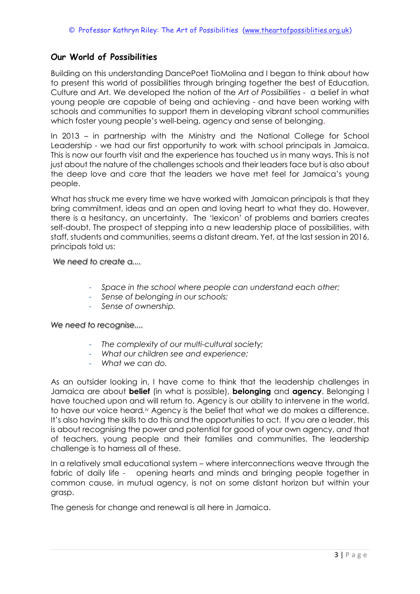## **Our World of Possibilities**

Building on this understanding DancePoet TioMolina and I began to think about how to present this world of possibilities through bringing together the best of Education, Culture and Art. We developed the notion of the *Art of Possibilities* - a belief in what young people are capable of being and achieving - and have been working with schools and communities to support them in developing vibrant school communities which foster young people's well-being, agency and sense of belonging.

In 2013 – in partnership with the Ministry and the National College for School Leadership - we had our first opportunity to work with school principals in Jamaica. This is now our fourth visit and the experience has touched us in many ways. This is not just about the nature of the challenges schools and their leaders face but is also about the deep love and care that the leaders we have met feel for Jamaica's young people.

What has struck me every time we have worked with Jamaican principals is that they bring commitment, ideas and an open and loving heart to what they do. However, there is a hesitancy, an uncertainty. The 'lexicon' of problems and barriers creates self-doubt. The prospect of stepping into a new leadership place of possibilities, with staff, students and communities, seems a distant dream. Yet, at the last session in 2016, principals told us:

*We need to create a....*

- *Space in the school where people can understand each other;*
- *Sense of belonging in our schools;*
- *Sense of ownership.*

*We need to recognise....*

- *The complexity of our multi-cultural society;*
- *What our children see and experience;*
- *What we can do.*

As an outsider looking in, I have come to think that the leadership challenges in Jamaica are about **belief** (in what is possible), **belonging** and **agency**. Belonging I have touched upon and will return to. Agency is our ability to intervene in the world, to have our voice heard.<sup>iv</sup> Agency is the belief that what we do makes a difference. It's also having the skills to do this and the opportunities to act. If you are a leader, this is about recognising the power and potential for good of your own agency, *and* that of teachers, young people and their families and communities. The leadership challenge is to harness all of these.

In a relatively small educational system – where interconnections weave through the fabric of daily life - opening hearts and minds and bringing people together in common cause, in mutual agency, is not on some distant horizon but within your grasp.

The genesis for change and renewal is all here in Jamaica.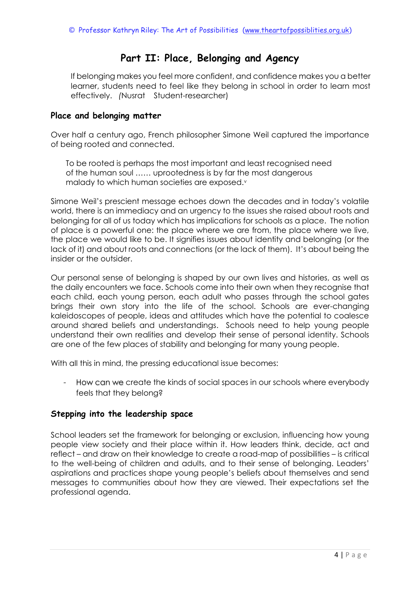# **Part II: Place, Belonging and Agency**

If belonging makes you feel more confident, and confidence makes you a better learner, students need to feel like they belong in school in order to learn most effectively. *(*Nusrat Student-researcher)

### **Place and belonging matter**

Over half a century ago, French philosopher Simone Weil captured the importance of being rooted and connected.

To be rooted is perhaps the most important and least recognised need of the human soul …… uprootedness is by far the most dangerous malady to which human societies are exposed.<sup>v</sup>

Simone Weil's prescient message echoes down the decades and in today's volatile world, there is an immediacy and an urgency to the issues she raised about roots and belonging for all of us today which has implications for schools as a place. The notion of place is a powerful one: the place where we are from, the place where we live, the place we would like to be. It signifies issues about identity and belonging (or the lack of it) and about roots and connections (or the lack of them). It's about being the insider or the outsider.

Our personal sense of belonging is shaped by our own lives and histories, as well as the daily encounters we face. Schools come into their own when they recognise that each child, each young person, each adult who passes through the school gates brings their own story into the life of the school. Schools are ever-changing kaleidoscopes of people, ideas and attitudes which have the potential to coalesce around shared beliefs and understandings. Schools need to help young people understand their own realities and develop their sense of personal identity. Schools are one of the few places of stability and belonging for many young people.

With all this in mind, the pressing educational issue becomes:

- How can we create the kinds of social spaces in our schools where everybody feels that they belong?

## **Stepping into the leadership space**

School leaders set the framework for belonging or exclusion, influencing how young people view society and their place within it. How leaders think, decide, act and reflect – and draw on their knowledge to create a road-map of possibilities – is critical to the well-being of children and adults, and to their sense of belonging. Leaders' aspirations and practices shape young people's beliefs about themselves and send messages to communities about how they are viewed. Their expectations set the professional agenda.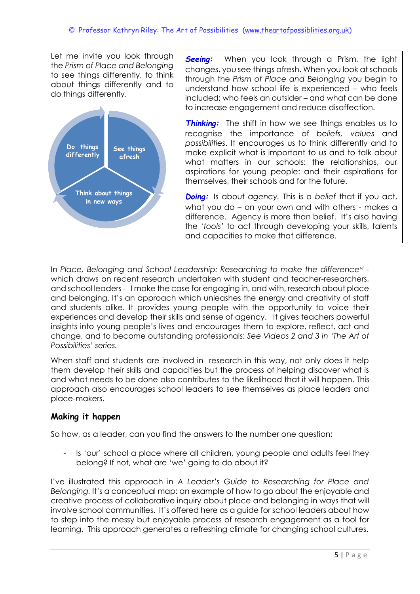Let me invite you look through the *Prism of Place and Belonging* to see things differently, to think about things differently and to do things differently.



**Seeing:** When you look through a Prism, the light changes, you see things afresh. When you look at schools through the *Prism of Place and Belonging* you begin to understand how school life is experienced – who feels included; who feels an outsider – and what can be done to increase engagement and reduce disaffection.

**Thinking:** The shift in how we see things enables us to recognise the importance of *beliefs, values* and *possibilities*. It encourages us to think differently and to make explicit what is important to us and to talk about what matters in our schools: the relationships, our aspirations for young people: and their aspirations for themselves, their schools and for the future.

*Doing:* Is about *agency.* This is a *belief* that if you act, what you do – on your own and with others - makes a difference. Agency is more than belief. It's also having the '*tools'* to act through developing your skills, talents and capacities to make that difference.

In *Place, Belonging and School Leadership: Researching to make the differencevi*  which draws on recent research undertaken with student and teacher-researchers, and school leaders *-* I make the case for engaging in, and with, research about place and belonging. It's an approach which unleashes the energy and creativity of staff and students alike. It provides young people with the opportunity to voice their experiences and develop their skills and sense of agency. It gives teachers powerful insights into young people's lives and encourages them to explore, reflect, act and change, and to become outstanding professionals: *See Videos 2 and 3 in 'The Art of Possibilities' series.*

When staff and students are involved in research in this way, not only does it help them develop their skills and capacities but the process of helping discover what is and what needs to be done also contributes to the likelihood that it will happen. This approach also encourages school leaders to see themselves as place leaders and place-makers.

## **Making it happen**

So how, as a leader, can you find the answers to the number one question:

- Is 'our' school a place where all children, young people and adults feel they belong? If not, what are 'we' going to do about it?

I've illustrated this approach in *A Leader's Guide to Researching for Place and Belonging.* It's a conceptual map: an example of how to go about the enjoyable and creative process of collaborative inquiry about place and belonging in ways that will involve school communities. It's offered here as a guide for school leaders about how to step into the messy but enjoyable process of research engagement as a tool for learning. This approach generates a refreshing climate for changing school cultures.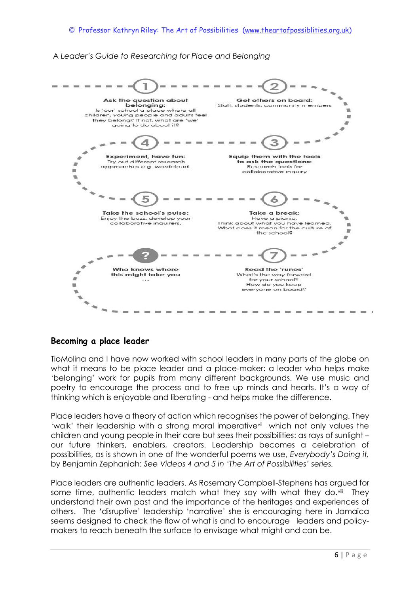### A *Leader's Guide to Researching for Place and Belonging*



### **Becoming a place leader**

TioMolina and I have now worked with school leaders in many parts of the globe on what it means to be place leader and a place-maker: a leader who helps make 'belonging' work for pupils from many different backgrounds. We use music and poetry to encourage the process and to free up minds and hearts. It's a way of thinking which is enjoyable and liberating - and helps make the difference.

Place leaders have a theory of action which recognises the power of belonging. They 'walk' their leadership with a strong moral imperative<sup>vii</sup> which not only values the children and young people in their care but sees their possibilities: as rays of sunlight – our future thinkers, enablers, creators. Leadership becomes a celebration of possibilities, as is shown in one of the wonderful poems we use, *Everybody's Doing it,* by Benjamin Zephaniah: *See Videos 4 and 5 in 'The Art of Possibilities' series.*

Place leaders are authentic leaders. As Rosemary Campbell-Stephens has argued for some time, authentic leaders match what they say with what they do.<sup>viii</sup> They understand their own past and the importance of the heritages and experiences of others. The 'disruptive' leadership 'narrative' she is encouraging here in Jamaica seems designed to check the flow of what is and to encourage leaders and policymakers to reach beneath the surface to envisage what might and can be.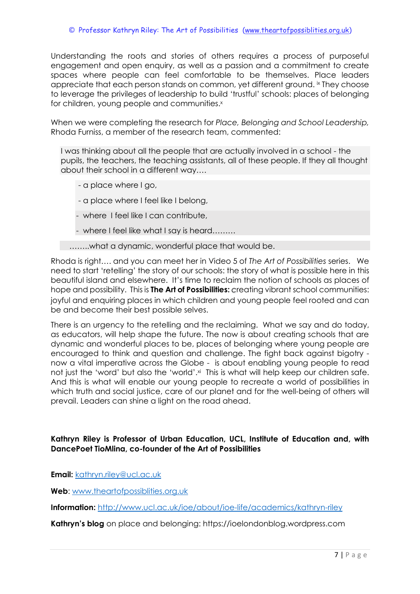Understanding the roots and stories of others requires a process of purposeful engagement and open enquiry, as well as a passion and a commitment to create spaces where people can feel comfortable to be themselves. Place leaders appreciate that each person stands on common, yet different ground. ix They choose to leverage the privileges of leadership to build 'trustful' schools: places of belonging for children, young people and communities.<sup>x</sup>

When we were completing the research for *Place, Belonging and School Leadership,*  Rhoda Furniss, a member of the research team, commented:

I was thinking about all the people that are actually involved in a school - the pupils, the teachers, the teaching assistants, all of these people. If they all thought about their school in a different way….

- a place where I go,
- a place where I feel like I belong,
- where I feel like I can contribute,
- where I feel like what I say is heard………

……..what a dynamic, wonderful place that would be.

Rhoda is right…. and you can meet her in Video 5 of *The Art of Possibilities* series. We need to start 'retelling' the story of our schools: the story of what is possible here in this beautiful island and elsewhere. It's time to reclaim the notion of schools as places of hope and possibility. This is **The Art of Possibilities:** *c*reating vibrant school communities: joyful and enquiring places in which children and young people feel rooted and can be and become their best possible selves.

There is an urgency to the retelling and the reclaiming. What we say and do today, as educators, will help shape the future. The now is about creating schools that are dynamic and wonderful places to be, places of belonging where young people are encouraged to think and question and challenge. The fight back against bigotry now a vital imperative across the Globe - is about enabling young people to read not just the 'word' but also the 'world'.<sup>xi</sup> This is what will help keep our children safe. And this is what will enable our young people to recreate a world of possibilities in which truth and social justice, care of our planet and for the well-being of others will prevail. Leaders can shine a light on the road ahead.

#### **Kathryn Riley is Professor of Urban Education, UCL, Institute of Education and, with DancePoet TioMlina, co-founder of the Art of Possibilities**

**Email:** [kathryn.riley@ucl.ac.uk](mailto:kathryn.riley@ucl.ac.uk)

**Web**: [www.theartofpossiblities.org.uk](http://www.theartofpossiblities.org.uk/)

**Information:** <http://www.ucl.ac.uk/ioe/about/ioe-life/academics/kathryn-riley>

**Kathryn's blog** on place and belonging: https://ioelondonblog.wordpress.com